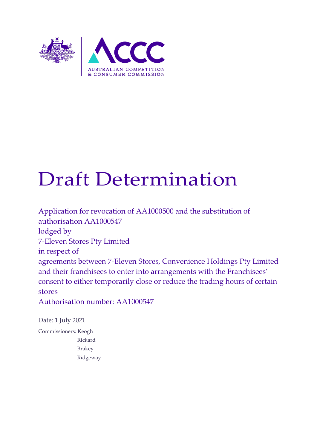

# Draft Determination

Application for revocation of AA1000500 and the substitution of authorisation AA1000547 lodged by 7-Eleven Stores Pty Limited in respect of agreements between 7-Eleven Stores, Convenience Holdings Pty Limited and their franchisees to enter into arrangements with the Franchisees' consent to either temporarily close or reduce the trading hours of certain stores Authorisation number: AA1000547

Date: 1 July 2021

Commissioners: Keogh Rickard Brakey Ridgeway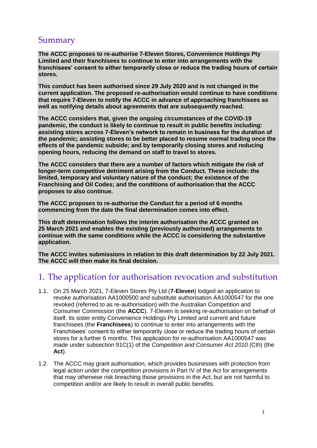## Summary

**The ACCC proposes to re-authorise 7-Eleven Stores, Convenience Holdings Pty Limited and their franchisees to continue to enter into arrangements with the franchisees' consent to either temporarily close or reduce the trading hours of certain stores.** 

**This conduct has been authorised since 29 July 2020 and is not changed in the current application. The proposed re-authorisation would continue to have conditions that require 7-Eleven to notify the ACCC in advance of approaching franchisees as well as notifying details about agreements that are subsequently reached.**

**The ACCC considers that, given the ongoing circumstances of the COVID-19 pandemic, the conduct is likely to continue to result in public benefits including: assisting stores across 7-Eleven's network to remain in business for the duration of the pandemic; assisting stores to be better placed to resume normal trading once the effects of the pandemic subside; and by temporarily closing stores and reducing opening hours, reducing the demand on staff to travel to stores.**

**The ACCC considers that there are a number of factors which mitigate the risk of longer-term competitive detriment arising from the Conduct. These include: the limited, temporary and voluntary nature of the conduct; the existence of the Franchising and Oil Codes; and the conditions of authorisation that the ACCC proposes to also continue.**

**The ACCC proposes to re-authorise the Conduct for a period of 6 months commencing from the date the final determination comes into effect.** 

**This draft determination follows the interim authorisation the ACCC granted on 25 March 2021 and enables the existing (previously authorised) arrangements to continue with the same conditions while the ACCC is considering the substantive application.** 

**The ACCC invites submissions in relation to this draft determination by 22 July 2021. The ACCC will then make its final decision.** 

# 1. The application for authorisation revocation and substitution

- 1.1. On 25 March 2021, 7-Eleven Stores Pty Ltd (**7-Eleven**) lodged an application to revoke authorisation AA1000500 and substitute authorisation AA1000547 for the one revoked (referred to as re-authorisation) with the Australian Competition and Consumer Commission (the **ACCC**). 7-Eleven is seeking re-authorisation on behalf of itself, its sister entity Convenience Holdings Pty Limited and current and future franchisees (the **Franchisees**) to continue to enter into arrangements with the Franchisees' consent to either temporarily close or reduce the trading hours of certain stores for a further 6 months. This application for re-authorisation AA1000547 was made under subsection 91C(1) of the *Competition and Consumer Act 2010* (Cth) (the **Act**).
- 1.2. The ACCC may grant authorisation, which provides businesses with protection from legal action under the competition provisions in Part IV of the Act for arrangements that may otherwise risk breaching those provisions in the Act, but are not harmful to competition and/or are likely to result in overall public benefits.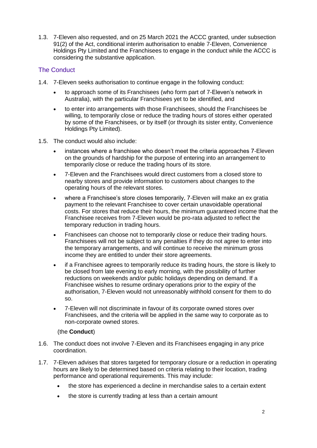1.3. 7-Eleven also requested, and on 25 March 2021 the ACCC granted, under subsection 91(2) of the Act, conditional interim authorisation to enable 7-Eleven, Convenience Holdings Pty Limited and the Franchisees to engage in the conduct while the ACCC is considering the substantive application.

#### The Conduct

- 1.4. 7-Eleven seeks authorisation to continue engage in the following conduct:
	- to approach some of its Franchisees (who form part of 7-Eleven's network in Australia), with the particular Franchisees yet to be identified, and
	- to enter into arrangements with those Franchisees, should the Franchisees be willing, to temporarily close or reduce the trading hours of stores either operated by some of the Franchisees, or by itself (or through its sister entity, Convenience Holdings Pty Limited).
- 1.5. The conduct would also include:
	- instances where a franchisee who doesn't meet the criteria approaches 7-Eleven on the grounds of hardship for the purpose of entering into an arrangement to temporarily close or reduce the trading hours of its store.
	- 7-Eleven and the Franchisees would direct customers from a closed store to nearby stores and provide information to customers about changes to the operating hours of the relevant stores.
	- where a Franchisee's store closes temporarily, 7-Eleven will make an ex gratia payment to the relevant Franchisee to cover certain unavoidable operational costs. For stores that reduce their hours, the minimum guaranteed income that the Franchisee receives from 7-Eleven would be pro-rata adjusted to reflect the temporary reduction in trading hours.
	- Franchisees can choose not to temporarily close or reduce their trading hours. Franchisees will not be subject to any penalties if they do not agree to enter into the temporary arrangements, and will continue to receive the minimum gross income they are entitled to under their store agreements.
	- if a Franchisee agrees to temporarily reduce its trading hours, the store is likely to be closed from late evening to early morning, with the possibility of further reductions on weekends and/or public holidays depending on demand. If a Franchisee wishes to resume ordinary operations prior to the expiry of the authorisation, 7-Eleven would not unreasonably withhold consent for them to do so.
	- 7-Eleven will not discriminate in favour of its corporate owned stores over Franchisees, and the criteria will be applied in the same way to corporate as to non-corporate owned stores.

#### (the **Conduct**)

- 1.6. The conduct does not involve 7-Eleven and its Franchisees engaging in any price coordination.
- 1.7. 7-Eleven advises that stores targeted for temporary closure or a reduction in operating hours are likely to be determined based on criteria relating to their location, trading performance and operational requirements. This may include:
	- the store has experienced a decline in merchandise sales to a certain extent
	- the store is currently trading at less than a certain amount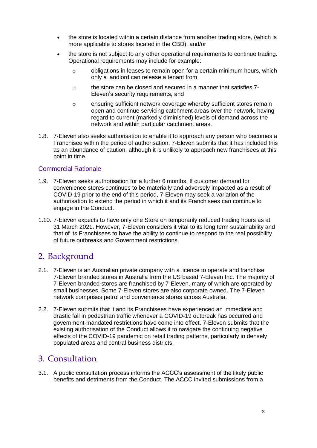- the store is located within a certain distance from another trading store, (which is more applicable to stores located in the CBD), and/or
- the store is not subject to any other operational requirements to continue trading. Operational requirements may include for example:
	- o obligations in leases to remain open for a certain minimum hours, which only a landlord can release a tenant from
	- o the store can be closed and secured in a manner that satisfies 7- Eleven's security requirements, and
	- o ensuring sufficient network coverage whereby sufficient stores remain open and continue servicing catchment areas over the network, having regard to current (markedly diminished) levels of demand across the network and within particular catchment areas.
- 1.8. 7-Eleven also seeks authorisation to enable it to approach any person who becomes a Franchisee within the period of authorisation. 7-Eleven submits that it has included this as an abundance of caution, although it is unlikely to approach new franchisees at this point in time.

#### Commercial Rationale

- 1.9. 7-Eleven seeks authorisation for a further 6 months. If customer demand for convenience stores continues to be materially and adversely impacted as a result of COVID-19 prior to the end of this period, 7-Eleven may seek a variation of the authorisation to extend the period in which it and its Franchisees can continue to engage in the Conduct.
- 1.10. 7-Eleven expects to have only one Store on temporarily reduced trading hours as at 31 March 2021. However, 7-Eleven considers it vital to its long term sustainability and that of its Franchisees to have the ability to continue to respond to the real possibility of future outbreaks and Government restrictions.

## 2. Background

- 2.1. 7-Eleven is an Australian private company with a licence to operate and franchise 7-Eleven branded stores in Australia from the US based 7-Eleven Inc. The majority of 7-Eleven branded stores are franchised by 7-Eleven, many of which are operated by small businesses. Some 7-Eleven stores are also corporate owned. The 7-Eleven network comprises petrol and convenience stores across Australia.
- 2.2. 7-Eleven submits that it and its Franchisees have experienced an immediate and drastic fall in pedestrian traffic whenever a COVID-19 outbreak has occurred and government-mandated restrictions have come into effect. 7-Eleven submits that the existing authorisation of the Conduct allows it to navigate the continuing negative effects of the COVID-19 pandemic on retail trading patterns, particularly in densely populated areas and central business districts.

## 3. Consultation

3.1. A public consultation process informs the ACCC's assessment of the likely public benefits and detriments from the Conduct. The ACCC invited submissions from a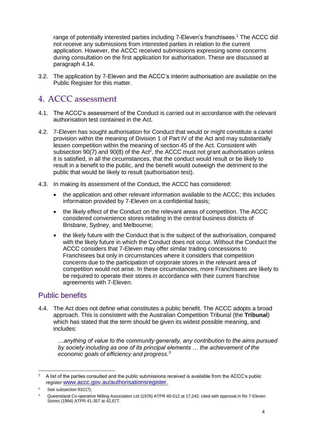range of potentially interested parties including 7-Eleven's franchisees.<sup>1</sup> The ACCC did not receive any submissions from interested parties in relation to the current application. However, the ACCC received submissions expressing some concerns during consultation on the first application for authorisation. These are discussed at paragraph 4.14.

3.2. The application by 7-Eleven and the ACCC's interim authorisation are available on the Public Register for this matter.

# 4. ACCC assessment

- 4.1. The ACCC's assessment of the Conduct is carried out in accordance with the relevant authorisation test contained in the Act.
- 4.2. 7-Eleven has sought authorisation for Conduct that would or might constitute a cartel provision within the meaning of Division 1 of Part IV of the Act and may substantially lessen competition within the meaning of section 45 of the Act. Consistent with subsection  $90(7)$  and  $90(8)$  of the Act<sup>2</sup>, the ACCC must not grant authorisation unless it is satisfied, in all the circumstances, that the conduct would result or be likely to result in a benefit to the public, and the benefit would outweigh the detriment to the public that would be likely to result (authorisation test).
- 4.3. In making its assessment of the Conduct, the ACCC has considered:
	- the application and other relevant information available to the ACCC; this includes information provided by 7-Eleven on a confidential basis;
	- the likely effect of the Conduct on the relevant areas of competition. The ACCC considered convenience stores retailing in the central business districts of Brisbane, Sydney, and Melbourne;
	- the likely future with the Conduct that is the subject of the authorisation, compared with the likely future in which the Conduct does not occur. Without the Conduct the ACCC considers that 7-Eleven may offer similar trading concessions to Franchisees but only in circumstances where it considers that competition concerns due to the participation of corporate stores in the relevant area of competition would not arise. In these circumstances, more Franchisees are likely to be required to operate their stores in accordance with their current franchise agreements with 7-Eleven.

## Public benefits

4.4. The Act does not define what constitutes a public benefit. The ACCC adopts a broad approach. This is consistent with the Australian Competition Tribunal (the **Tribunal**) which has stated that the term should be given its widest possible meaning, and includes:

*…anything of value to the community generally, any contribution to the aims pursued by society including as one of its principal elements … the achievement of the economic goals of efficiency and progress.<sup>3</sup>*

<sup>-</sup> $1$  A list of the parties consulted and the public submissions received is available from the ACCC's public register [www.accc.gov.au/authorisationsregister.](http://www.accc.gov.au/authorisationsregister)

 $2^2$  See subsection 91C(7).

<sup>&</sup>lt;sup>3</sup> Queensland Co-operative Milling Association Ltd (1976) ATPR 40-012 at 17,242; cited with approval in Re 7-Eleven Stores (1994) ATPR 41-357 at 42,677.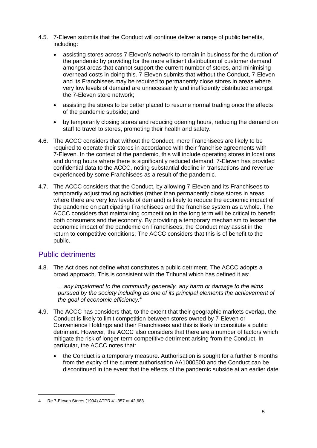- 4.5. 7-Eleven submits that the Conduct will continue deliver a range of public benefits, including:
	- assisting stores across 7-Eleven's network to remain in business for the duration of the pandemic by providing for the more efficient distribution of customer demand amongst areas that cannot support the current number of stores, and minimising overhead costs in doing this. 7-Eleven submits that without the Conduct, 7-Eleven and its Franchisees may be required to permanently close stores in areas where very low levels of demand are unnecessarily and inefficiently distributed amongst the 7-Eleven store network;
	- assisting the stores to be better placed to resume normal trading once the effects of the pandemic subside; and
	- by temporarily closing stores and reducing opening hours, reducing the demand on staff to travel to stores, promoting their health and safety.
- 4.6. The ACCC considers that without the Conduct, more Franchisees are likely to be required to operate their stores in accordance with their franchise agreements with 7-Eleven. In the context of the pandemic, this will include operating stores in locations and during hours where there is significantly reduced demand. 7-Eleven has provided confidential data to the ACCC, noting substantial decline in transactions and revenue experienced by some Franchisees as a result of the pandemic.
- 4.7. The ACCC considers that the Conduct, by allowing 7-Eleven and its Franchisees to temporarily adjust trading activities (rather than permanently close stores in areas where there are very low levels of demand) is likely to reduce the economic impact of the pandemic on participating Franchisees and the franchise system as a whole. The ACCC considers that maintaining competition in the long term will be critical to benefit both consumers and the economy. By providing a temporary mechanism to lessen the economic impact of the pandemic on Franchisees, the Conduct may assist in the return to competitive conditions. The ACCC considers that this is of benefit to the public.

### Public detriments

4.8. The Act does not define what constitutes a public detriment. The ACCC adopts a broad approach. This is consistent with the Tribunal which has defined it as:

*…any impairment to the community generally, any harm or damage to the aims pursued by the society including as one of its principal elements the achievement of the goal of economic efficiency.<sup>4</sup>*

- 4.9. The ACCC has considers that, to the extent that their geographic markets overlap, the Conduct is likely to limit competition between stores owned by 7-Eleven or Convenience Holdings and their Franchisees and this is likely to constitute a public detriment. However, the ACCC also considers that there are a number of factors which mitigate the risk of longer-term competitive detriment arising from the Conduct. In particular, the ACCC notes that:
	- the Conduct is a temporary measure. Authorisation is sought for a further 6 months from the expiry of the current authorisation AA1000500 and the Conduct can be discontinued in the event that the effects of the pandemic subside at an earlier date

-

<sup>4</sup> Re 7-Eleven Stores (1994) ATPR 41-357 at 42,683.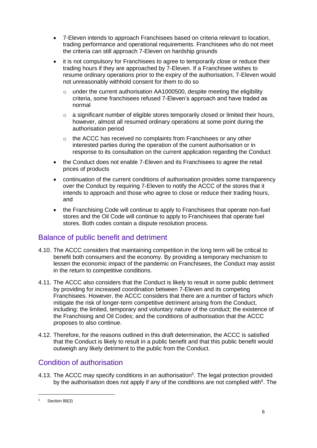- 7-Eleven intends to approach Franchisees based on criteria relevant to location, trading performance and operational requirements. Franchisees who do not meet the criteria can still approach 7-Eleven on hardship grounds
- it is not compulsory for Franchisees to agree to temporarily close or reduce their trading hours if they are approached by 7-Eleven. If a Franchisee wishes to resume ordinary operations prior to the expiry of the authorisation, 7-Eleven would not unreasonably withhold consent for them to do so
	- $\circ$  under the current authorisation AA1000500, despite meeting the eligibility criteria, some franchisees refused 7-Eleven's approach and have traded as normal
	- $\circ$  a significant number of eligible stores temporarily closed or limited their hours, however, almost all resumed ordinary operations at some point during the authorisation period
	- o the ACCC has received no complaints from Franchisees or any other interested parties during the operation of the current authorisation or in response to its consultation on the current application regarding the Conduct
- the Conduct does not enable 7-Eleven and its Franchisees to agree the retail prices of products
- continuation of the current conditions of authorisation provides some transparency over the Conduct by requiring 7-Eleven to notify the ACCC of the stores that it intends to approach and those who agree to close or reduce their trading hours, and
- the Franchising Code will continue to apply to Franchisees that operate non-fuel stores and the Oil Code will continue to apply to Franchisees that operate fuel stores. Both codes contain a dispute resolution process.

### Balance of public benefit and detriment

- 4.10. The ACCC considers that maintaining competition in the long term will be critical to benefit both consumers and the economy. By providing a temporary mechanism to lessen the economic impact of the pandemic on Franchisees, the Conduct may assist in the return to competitive conditions.
- 4.11. The ACCC also considers that the Conduct is likely to result in some public detriment by providing for increased coordination between 7-Eleven and its competing Franchisees. However, the ACCC considers that there are a number of factors which mitigate the risk of longer-term competitive detriment arising from the Conduct, including: the limited, temporary and voluntary nature of the conduct; the existence of the Franchising and Oil Codes; and the conditions of authorisation that the ACCC proposes to also continue.
- 4.12. Therefore, for the reasons outlined in this draft determination, the ACCC is satisfied that the Conduct is likely to result in a public benefit and that this public benefit would outweigh any likely detriment to the public from the Conduct.

## Condition of authorisation

4.13. The ACCC may specify conditions in an authorisation<sup>5</sup>. The legal protection provided by the authorisation does not apply if any of the conditions are not complied with<sup>6</sup>. The

-

<sup>5</sup> Section 88(3)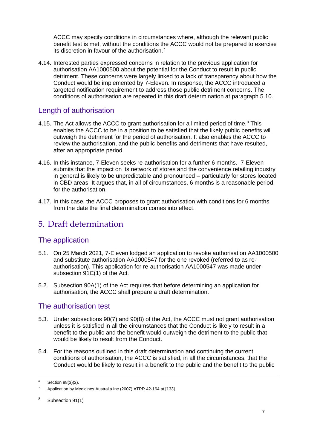ACCC may specify conditions in circumstances where, although the relevant public benefit test is met, without the conditions the ACCC would not be prepared to exercise its discretion in favour of the authorisation.<sup>7</sup>

4.14. Interested parties expressed concerns in relation to the previous application for authorisation AA1000500 about the potential for the Conduct to result in public detriment. These concerns were largely linked to a lack of transparency about how the Conduct would be implemented by 7-Eleven. In response, the ACCC introduced a targeted notification requirement to address those public detriment concerns. The conditions of authorisation are repeated in this draft determination at paragraph 5.10.

#### Length of authorisation

- 4.15. The Act allows the ACCC to grant authorisation for a limited period of time.<sup>8</sup> This enables the ACCC to be in a position to be satisfied that the likely public benefits will outweigh the detriment for the period of authorisation. It also enables the ACCC to review the authorisation, and the public benefits and detriments that have resulted, after an appropriate period.
- 4.16. In this instance, 7-Eleven seeks re-authorisation for a further 6 months. 7-Eleven submits that the impact on its network of stores and the convenience retailing industry in general is likely to be unpredictable and pronounced – particularly for stores located in CBD areas. It argues that, in all of circumstances, 6 months is a reasonable period for the authorisation.
- 4.17. In this case, the ACCC proposes to grant authorisation with conditions for 6 months from the date the final determination comes into effect.

## 5. Draft determination

### The application

- 5.1. On 25 March 2021, 7-Eleven lodged an application to revoke authorisation AA1000500 and substitute authorisation AA1000547 for the one revoked (referred to as reauthorisation). This application for re-authorisation AA1000547 was made under subsection 91C(1) of the Act.
- 5.2. Subsection 90A(1) of the Act requires that before determining an application for authorisation, the ACCC shall prepare a draft determination.

### The authorisation test

- 5.3. Under subsections 90(7) and 90(8) of the Act, the ACCC must not grant authorisation unless it is satisfied in all the circumstances that the Conduct is likely to result in a benefit to the public and the benefit would outweigh the detriment to the public that would be likely to result from the Conduct.
- 5.4. For the reasons outlined in this draft determination and continuing the current conditions of authorisation, the ACCC is satisfied, in all the circumstances, that the Conduct would be likely to result in a benefit to the public and the benefit to the public

-

<sup>6</sup> Section 88(3)(2).

<sup>&</sup>lt;sup>7</sup> Application by Medicines Australia Inc (2007) ATPR 42-164 at [133].

<sup>8</sup> Subsection 91(1)